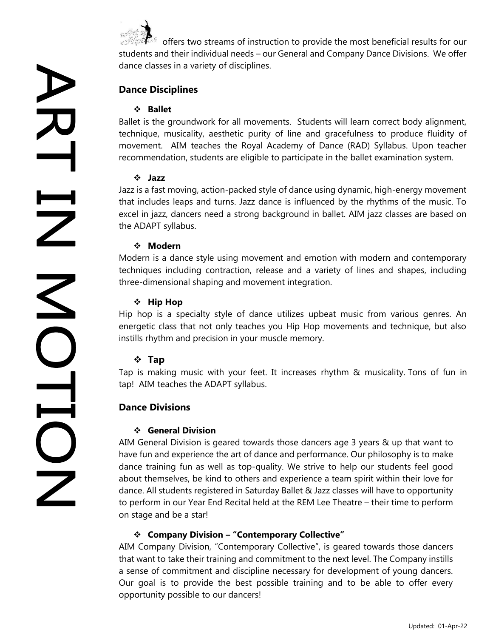$\blacktriangleleft$ 

 $\mathbb{S}^{\mathbb{Z}}$  offers two streams of instruction to provide the most beneficial results for our students and their individual needs – our General and Company Dance Divisions. We offer dance classes in a variety of disciplines.

## **Dance Disciplines**

## ❖ **Ballet**

Ballet is the groundwork for all movements. Students will learn correct body alignment, technique, musicality, aesthetic purity of line and gracefulness to produce fluidity of movement. AIM teaches the Royal Academy of Dance (RAD) Syllabus. Upon teacher recommendation, students are eligible to participate in the ballet examination system.

## ❖ **Jazz**

Jazz is a fast moving, action-packed style of dance using dynamic, high-energy movement that includes leaps and turns. Jazz dance is influenced by the rhythms of the music. To excel in jazz, dancers need a strong background in ballet. AIM jazz classes are based on the ADAPT syllabus.

## ❖ **Modern**

Modern is a dance style using movement and emotion with modern and contemporary techniques including contraction, release and a variety of lines and shapes, including three-dimensional shaping and movement integration.

## ❖ **Hip Hop**

Hip hop is a specialty style of dance utilizes upbeat music from various genres. An energetic class that not only teaches you Hip Hop movements and technique, but also instills rhythm and precision in your muscle memory.

## ❖ **Tap**

Tap is making music with your feet. It increases rhythm & musicality. Tons of fun in tap! AIM teaches the ADAPT syllabus.

## **Dance Divisions**

## ❖ **General Division**

AIM General Division is geared towards those dancers age 3 years & up that want to have fun and experience the art of dance and performance. Our philosophy is to make dance training fun as well as top-quality. We strive to help our students feel good about themselves, be kind to others and experience a team spirit within their love for dance. All students registered in Saturday Ballet & Jazz classes will have to opportunity to perform in our Year End Recital held at the REM Lee Theatre – their time to perform on stage and be a star!

## ❖ **Company Division – "Contemporary Collective"**

AIM Company Division, "Contemporary Collective", is geared towards those dancers that want to take their training and commitment to the next level. The Company instills a sense of commitment and discipline necessary for development of young dancers. Our goal is to provide the best possible training and to be able to offer every opportunity possible to our dancers!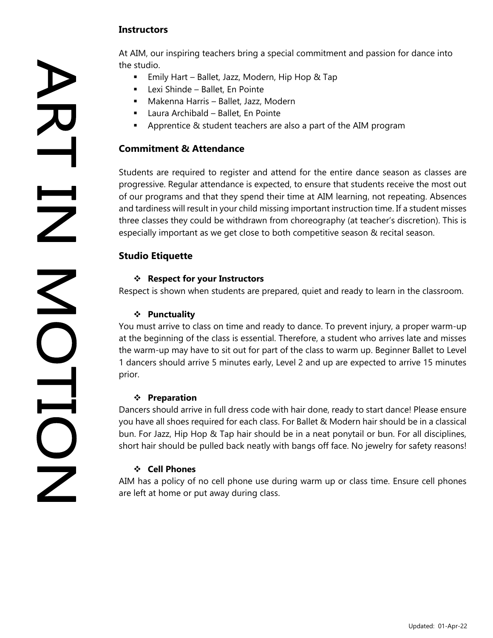### **Instructors**

At AIM, our inspiring teachers bring a special commitment and passion for dance into the studio.

- Emily Hart Ballet, Jazz, Modern, Hip Hop & Tap
- Lexi Shinde Ballet, En Pointe
- Makenna Harris Ballet, Jazz, Modern
- Laura Archibald Ballet, En Pointe
- Apprentice & student teachers are also a part of the AIM program

## **Commitment & Attendance**

Students are required to register and attend for the entire dance season as classes are progressive. Regular attendance is expected, to ensure that students receive the most out of our programs and that they spend their time at AIM learning, not repeating. Absences and tardiness will result in your child missing important instruction time. If a student misses three classes they could be withdrawn from choreography (at teacher's discretion). This is especially important as we get close to both competitive season & recital season.

## **Studio Etiquette**

### ❖ **Respect for your Instructors**

Respect is shown when students are prepared, quiet and ready to learn in the classroom.

## ❖ **Punctuality**

You must arrive to class on time and ready to dance. To prevent injury, a proper warm-up at the beginning of the class is essential. Therefore, a student who arrives late and misses the warm-up may have to sit out for part of the class to warm up. Beginner Ballet to Level 1 dancers should arrive 5 minutes early, Level 2 and up are expected to arrive 15 minutes prior.

### ❖ **Preparation**

Dancers should arrive in full dress code with hair done, ready to start dance! Please ensure you have all shoes required for each class. For Ballet & Modern hair should be in a classical bun. For Jazz, Hip Hop & Tap hair should be in a neat ponytail or bun. For all disciplines, short hair should be pulled back neatly with bangs off face. No jewelry for safety reasons!

## ❖ **Cell Phones**

AIM has a policy of no cell phone use during warm up or class time. Ensure cell phones are left at home or put away during class.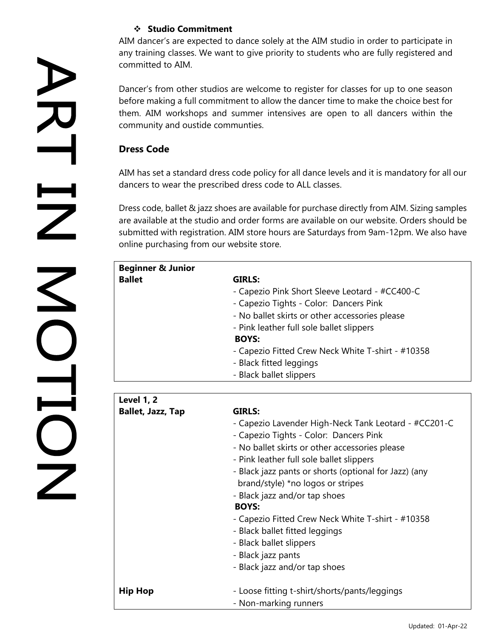### ❖ **Studio Commitment**

AIM dancer's are expected to dance solely at the AIM studio in order to participate in any training classes. We want to give priority to students who are fully registered and committed to AIM.

Dancer's from other studios are welcome to register for classes for up to one season before making a full commitment to allow the dancer time to make the choice best for them. AIM workshops and summer intensives are open to all dancers within the community and oustide communties.

## **Dress Code**

AIM has set a standard dress code policy for all dance levels and it is mandatory for all our dancers to wear the prescribed dress code to ALL classes.

Dress code, ballet & jazz shoes are available for purchase directly from AIM. Sizing samples are available at the studio and order forms are available on our website. Orders should be submitted with registration. AIM store hours are Saturdays from 9am-12pm. We also have online purchasing from our website store.

| <b>Beginner &amp; Junior</b>                          |                                                                                                                                                                                                                         |  |  |                                                                              |               |
|-------------------------------------------------------|-------------------------------------------------------------------------------------------------------------------------------------------------------------------------------------------------------------------------|--|--|------------------------------------------------------------------------------|---------------|
| <b>Ballet</b>                                         | <b>GIRLS:</b><br>- Capezio Pink Short Sleeve Leotard - #CC400-C<br>- Capezio Tights - Color: Dancers Pink<br>- No ballet skirts or other accessories please<br>- Pink leather full sole ballet slippers<br><b>BOYS:</b> |  |  |                                                                              |               |
|                                                       |                                                                                                                                                                                                                         |  |  | - Capezio Fitted Crew Neck White T-shirt - #10358<br>- Black fitted leggings |               |
|                                                       |                                                                                                                                                                                                                         |  |  |                                                                              |               |
|                                                       |                                                                                                                                                                                                                         |  |  |                                                                              |               |
|                                                       |                                                                                                                                                                                                                         |  |  | <b>Level 1, 2</b>                                                            |               |
|                                                       |                                                                                                                                                                                                                         |  |  | <b>Ballet, Jazz, Tap</b>                                                     | <b>GIRLS:</b> |
|                                                       | - Capezio Lavender High-Neck Tank Leotard - #CC201-C                                                                                                                                                                    |  |  |                                                                              |               |
|                                                       | - Capezio Tights - Color: Dancers Pink                                                                                                                                                                                  |  |  |                                                                              |               |
|                                                       | - No ballet skirts or other accessories please                                                                                                                                                                          |  |  |                                                                              |               |
| - Pink leather full sole ballet slippers              |                                                                                                                                                                                                                         |  |  |                                                                              |               |
| - Black jazz pants or shorts (optional for Jazz) (any |                                                                                                                                                                                                                         |  |  |                                                                              |               |
| brand/style) *no logos or stripes                     |                                                                                                                                                                                                                         |  |  |                                                                              |               |
| - Black jazz and/or tap shoes                         |                                                                                                                                                                                                                         |  |  |                                                                              |               |
| <b>BOYS:</b>                                          |                                                                                                                                                                                                                         |  |  |                                                                              |               |
| - Capezio Fitted Crew Neck White T-shirt - #10358     |                                                                                                                                                                                                                         |  |  |                                                                              |               |
| - Black ballet fitted leggings                        |                                                                                                                                                                                                                         |  |  |                                                                              |               |
| - Black ballet slippers                               |                                                                                                                                                                                                                         |  |  |                                                                              |               |
| - Black jazz pants                                    |                                                                                                                                                                                                                         |  |  |                                                                              |               |
| - Black jazz and/or tap shoes                         |                                                                                                                                                                                                                         |  |  |                                                                              |               |
| <b>Hip Hop</b>                                        | - Loose fitting t-shirt/shorts/pants/leggings                                                                                                                                                                           |  |  |                                                                              |               |
|                                                       | - Non-marking runners                                                                                                                                                                                                   |  |  |                                                                              |               |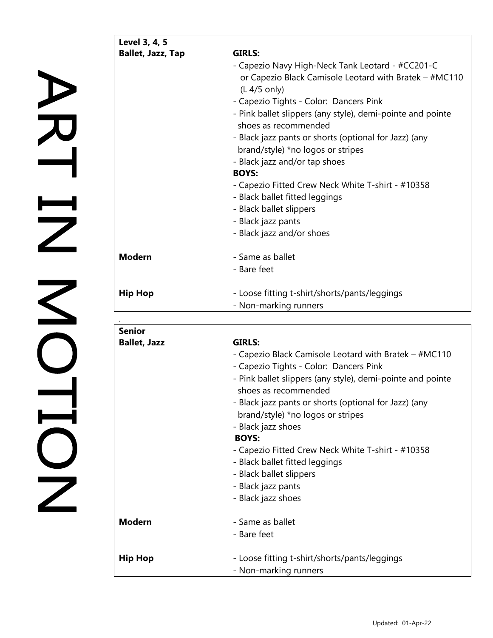| Level 3, 4, 5                        |                                                                                                                                                                                                                                                            |                                               |               |                                                                                    |  |  |
|--------------------------------------|------------------------------------------------------------------------------------------------------------------------------------------------------------------------------------------------------------------------------------------------------------|-----------------------------------------------|---------------|------------------------------------------------------------------------------------|--|--|
| <b>Ballet, Jazz, Tap</b>             | <b>GIRLS:</b>                                                                                                                                                                                                                                              |                                               |               |                                                                                    |  |  |
|                                      | - Capezio Navy High-Neck Tank Leotard - #CC201-C<br>or Capezio Black Camisole Leotard with Bratek - #MC110<br>(L 4/5 only)<br>- Capezio Tights - Color: Dancers Pink<br>- Pink ballet slippers (any style), demi-pointe and pointe<br>shoes as recommended |                                               |               |                                                                                    |  |  |
|                                      |                                                                                                                                                                                                                                                            |                                               |               | - Black jazz pants or shorts (optional for Jazz) (any                              |  |  |
|                                      |                                                                                                                                                                                                                                                            |                                               |               | brand/style) *no logos or stripes<br>- Black jazz and/or tap shoes<br><b>BOYS:</b> |  |  |
|                                      |                                                                                                                                                                                                                                                            |                                               |               |                                                                                    |  |  |
|                                      | - Black ballet fitted leggings                                                                                                                                                                                                                             |                                               |               |                                                                                    |  |  |
|                                      | - Black ballet slippers                                                                                                                                                                                                                                    |                                               |               |                                                                                    |  |  |
|                                      | - Black jazz pants<br>- Black jazz and/or shoes                                                                                                                                                                                                            |                                               |               |                                                                                    |  |  |
|                                      |                                                                                                                                                                                                                                                            |                                               | <b>Modern</b> | - Same as ballet                                                                   |  |  |
|                                      | - Bare feet                                                                                                                                                                                                                                                |                                               |               |                                                                                    |  |  |
|                                      |                                                                                                                                                                                                                                                            |                                               |               |                                                                                    |  |  |
|                                      | <b>Hip Hop</b>                                                                                                                                                                                                                                             | - Loose fitting t-shirt/shorts/pants/leggings |               |                                                                                    |  |  |
|                                      |                                                                                                                                                                                                                                                            | - Non-marking runners                         |               |                                                                                    |  |  |
|                                      |                                                                                                                                                                                                                                                            |                                               |               |                                                                                    |  |  |
| <b>Senior</b><br><b>Ballet, Jazz</b> | <b>GIRLS:</b>                                                                                                                                                                                                                                              |                                               |               |                                                                                    |  |  |
|                                      | - Capezio Black Camisole Leotard with Bratek - #MC110                                                                                                                                                                                                      |                                               |               |                                                                                    |  |  |
|                                      | - Capezio Tights - Color: Dancers Pink                                                                                                                                                                                                                     |                                               |               |                                                                                    |  |  |
|                                      | - Pink ballet slippers (any style), demi-pointe and pointe                                                                                                                                                                                                 |                                               |               |                                                                                    |  |  |
|                                      | shoes as recommended                                                                                                                                                                                                                                       |                                               |               |                                                                                    |  |  |
|                                      | - Black jazz pants or shorts (optional for Jazz) (any                                                                                                                                                                                                      |                                               |               |                                                                                    |  |  |
|                                      | brand/style) *no logos or stripes                                                                                                                                                                                                                          |                                               |               |                                                                                    |  |  |
|                                      | - Black jazz shoes                                                                                                                                                                                                                                         |                                               |               |                                                                                    |  |  |
|                                      | <b>BOYS:</b><br>- Capezio Fitted Crew Neck White T-shirt - #10358                                                                                                                                                                                          |                                               |               |                                                                                    |  |  |
|                                      | - Black ballet fitted leggings                                                                                                                                                                                                                             |                                               |               |                                                                                    |  |  |
|                                      | - Black ballet slippers                                                                                                                                                                                                                                    |                                               |               |                                                                                    |  |  |
|                                      | - Black jazz pants                                                                                                                                                                                                                                         |                                               |               |                                                                                    |  |  |
|                                      | - Black jazz shoes                                                                                                                                                                                                                                         |                                               |               |                                                                                    |  |  |
| <b>Modern</b>                        | - Same as ballet                                                                                                                                                                                                                                           |                                               |               |                                                                                    |  |  |
|                                      | - Bare feet                                                                                                                                                                                                                                                |                                               |               |                                                                                    |  |  |
|                                      |                                                                                                                                                                                                                                                            |                                               |               |                                                                                    |  |  |
| <b>Hip Hop</b>                       | - Loose fitting t-shirt/shorts/pants/leggings                                                                                                                                                                                                              |                                               |               |                                                                                    |  |  |
|                                      | - Non-marking runners                                                                                                                                                                                                                                      |                                               |               |                                                                                    |  |  |

NRT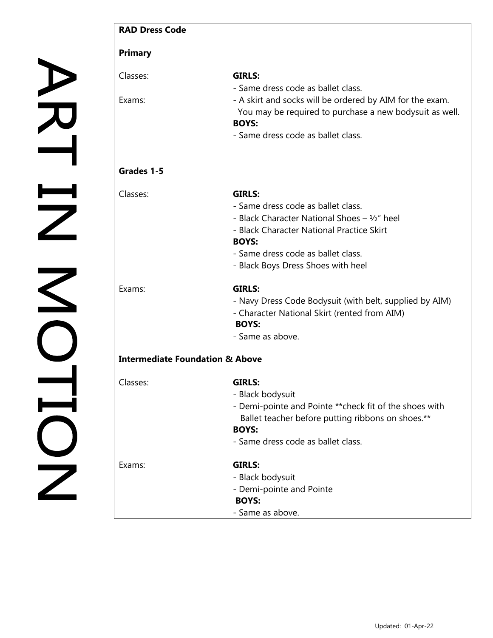| <b>RAD Dress Code</b> |                                                                                                                                                                           |
|-----------------------|---------------------------------------------------------------------------------------------------------------------------------------------------------------------------|
| Primary               |                                                                                                                                                                           |
| Classes:              | <b>GIRLS:</b>                                                                                                                                                             |
| Exams:                | - Same dress code as ballet class.<br>- A skirt and socks will be ordered by AIM for the exam.<br>You may be required to purchase a new bodysuit as well.<br><b>BOYS:</b> |
|                       | - Same dress code as ballet class.                                                                                                                                        |
| Grades 1-5            |                                                                                                                                                                           |
| Classes:              | <b>GIRLS:</b>                                                                                                                                                             |
|                       | - Same dress code as ballet class.                                                                                                                                        |
|                       | - Black Character National Shoes $-$ 1/2" heel                                                                                                                            |
|                       | - Black Character National Practice Skirt<br><b>BOYS:</b>                                                                                                                 |
|                       | - Same dress code as ballet class.                                                                                                                                        |
|                       | - Black Boys Dress Shoes with heel                                                                                                                                        |
| Exams:                | <b>GIRLS:</b>                                                                                                                                                             |
|                       | - Navy Dress Code Bodysuit (with belt, supplied by AIM)                                                                                                                   |
|                       | - Character National Skirt (rented from AIM)                                                                                                                              |
|                       | <b>BOYS:</b>                                                                                                                                                              |
|                       | - Same as above.                                                                                                                                                          |
|                       | <b>Intermediate Foundation &amp; Above</b>                                                                                                                                |
| Classes:              | <b>GIRLS:</b>                                                                                                                                                             |
|                       | - Black bodysuit                                                                                                                                                          |
|                       | - Demi-pointe and Pointe ** check fit of the shoes with<br>Ballet teacher before putting ribbons on shoes.**                                                              |
|                       | <b>BOYS:</b>                                                                                                                                                              |
|                       | - Same dress code as ballet class.                                                                                                                                        |
| Exams:                | <b>GIRLS:</b>                                                                                                                                                             |
|                       | - Black bodysuit                                                                                                                                                          |
|                       | - Demi-pointe and Pointe                                                                                                                                                  |
|                       | <b>BOYS:</b><br>- Same as above.                                                                                                                                          |
|                       |                                                                                                                                                                           |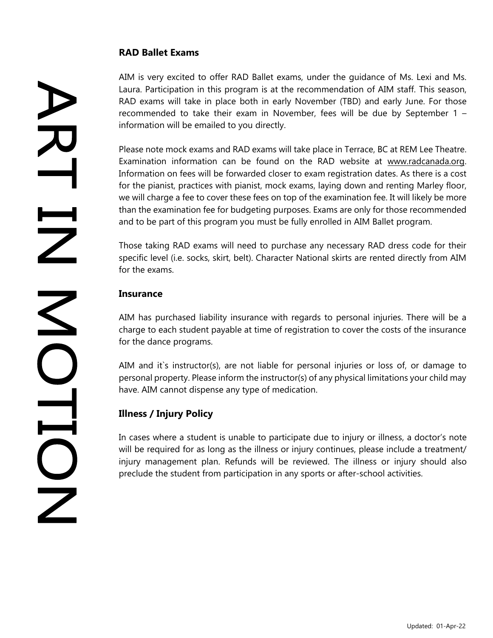## **RAD Ballet Exams**

AIM is very excited to offer RAD Ballet exams, under the guidance of Ms. Lexi and Ms. Laura. Participation in this program is at the recommendation of AIM staff. This season, RAD exams will take in place both in early November (TBD) and early June. For those recommended to take their exam in November, fees will be due by September 1 – information will be emailed to you directly.

Please note mock exams and RAD exams will take place in Terrace, BC at REM Lee Theatre. Examination information can be found on the RAD website at www.radcanada.org. Information on fees will be forwarded closer to exam registration dates. As there is a cost for the pianist, practices with pianist, mock exams, laying down and renting Marley floor, we will charge a fee to cover these fees on top of the examination fee. It will likely be more than the examination fee for budgeting purposes. Exams are only for those recommended and to be part of this program you must be fully enrolled in AIM Ballet program.

Those taking RAD exams will need to purchase any necessary RAD dress code for their specific level (i.e. socks, skirt, belt). Character National skirts are rented directly from AIM for the exams.

### **Insurance**

AIM has purchased liability insurance with regards to personal injuries. There will be a charge to each student payable at time of registration to cover the costs of the insurance for the dance programs.

AIM and it`s instructor(s), are not liable for personal injuries or loss of, or damage to personal property. Please inform the instructor(s) of any physical limitations your child may have. AIM cannot dispense any type of medication.

## **Illness / Injury Policy**

In cases where a student is unable to participate due to injury or illness, a doctor's note will be required for as long as the illness or injury continues, please include a treatment/ injury management plan. Refunds will be reviewed. The illness or injury should also preclude the student from participation in any sports or after-school activities.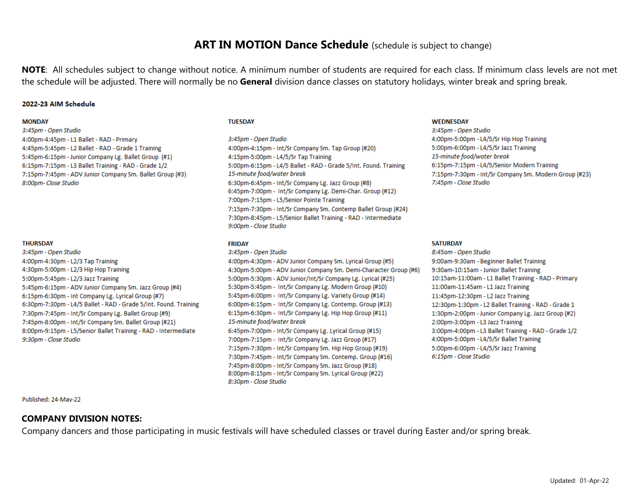# **ART IN MOTION Dance Schedule** (schedule is subject to change)

**NOTE**: All schedules subject to change without notice. A minimum number of students are required for each class. If minimum class levels are not met the schedule will be adjusted. There will normally be no **General** division dance classes on statutory holidays, winter break and spring break.

#### 2022-23 AIM Schedule

#### **MONDAY**

3:45pm - Open Studio 4:00pm-4:45pm - L1 Ballet - RAD - Primary 4:45pm-5:45pm - L2 Ballet - RAD - Grade 1 Training 5:45pm-6:15pm - Junior Company Lg. Ballet Group (#1) 6:15pm-7:15pm - L3 Ballet Training - RAD - Grade 1/2 7:15pm-7:45pm - ADV Junior Company Sm. Ballet Group (#3) 8:00pm- Close Studio

#### **THURSDAY**

3:45pm - Open Studio 4:00pm-4:30pm - L2/3 Tap Training 4:30pm-5:00pm - L2/3 Hip Hop Training 5:00pm-5:45pm - L2/3 Jazz Training 5:45pm-6:15pm - ADV Junior Company Sm. Jazz Group (#4) 6:15pm-6:30pm - Int Company Lg. Lyrical Group (#7) 6:30pm-7:30pm - L4/5 Ballet - RAD - Grade 5/Int. Found. Training 7:30pm-7:45pm - Int/Sr Company Lg. Ballet Group (#9) 7:45pm-8:00pm - Int/Sr Company Sm. Ballet Group (#21) 8:00pm-9:15pm - L5/Senior Ballet Training - RAD - Intermediate 9:30pm - Close Studio

#### **TUESDAY**

3:45pm - Open Studio 4:00pm-4:15pm - Int/Sr Company Sm. Tap Group (#20) 4:15pm-5:00pm - L4/5/Sr Tap Training 5:00pm-6:15pm - L4/5 Ballet - RAD - Grade 5/Int. Found. Training 15-minute food/water break 6:30pm-6:45pm - Int/Sr Company Lg. Jazz Group (#8) 6:45pm-7:00pm - Int/Sr Company Lg. Demi-Char. Group (#12) 7:00pm-7:15pm - L5/Senior Pointe Training 7:15pm-7:30pm - Int/Sr Company Sm. Contemp Ballet Group (#24) 7:30pm-8:45pm - L5/Senior Ballet Training - RAD - Intermediate 9:00pm - Close Studio

#### **FRIDAY**

3:45pm - Open Studio 4:00pm-4:30pm - ADV Junior Company Sm. Lyrical Group (#5) 4:30pm-5:00pm - ADV Junior Company Sm. Demi-Character Group (#6) 5:00pm-5:30pm - ADV Junior/Int/Sr Company Lg. Lyrical (#25) 5:30pm-5:45pm - Int/Sr Company Lg. Modern Group (#10) 5:45pm-6:00pm - Int/Sr Company Lg. Variety Group (#14) 6:00pm-6:15pm - Int/Sr Company Lg. Contemp. Group (#13) 6:15pm-6:30pm - Int/Sr Company Lg. Hip Hop Group (#11) 15-minute food/water break 6:45pm-7:00pm - Int/Sr Company Lg. Lyrical Group (#15) 7:00pm-7:15pm - Int/Sr Company Lg. Jazz Group (#17) 7:15pm-7:30pm - Int/Sr Company Sm. Hip Hop Group (#19) 7:30pm-7:45pm - Int/Sr Company Sm. Contemp. Group (#16) 7:45pm-8:00pm - Int/Sr Company Sm. Jazz Group (#18) 8:00pm-8:15pm - Int/Sr Company Sm. Lyrical Group (#22) 8:30pm - Close Studio

#### **WEDNESDAY**

3:45pm - Open Studio 4:00pm-5:00pm - L4/5/Sr Hip Hop Training 5:00pm-6:00pm - L4/5/Sr Jazz Training 15-minute food/water break 6:15pm-7:15pm - L4/5/Senior Modern Training 7:15pm-7:30pm - Int/Sr Company Sm. Modern Group (#23) 7:45pm - Close Studio

#### **SATURDAY**

8:45am - Open Studio 9:00am-9:30am - Beginner Ballet Training 9:30am-10:15am - Junior Ballet Training 10:15am-11:00am - L1 Ballet Training - RAD - Primary 11:00am-11:45am - L1 Jazz Training 11:45pm-12:30pm - L2 Jazz Training 12:30pm-1:30pm - L2 Ballet Training - RAD - Grade 1 1:30pm-2:00pm - Junior Company Lg. Jazz Group (#2) 2:00pm-3:00pm - L3 Jazz Training 3:00pm-4:00pm - L3 Ballet Training - RAD - Grade 1/2 4:00pm-5:00pm - L4/5/Sr Ballet Training 5:00pm-6:00pm - L4/5/Sr Jazz Training 6:15pm - Close Studio

#### Published: 24-May-22

### **COMPANY DIVISION NOTES:**

Company dancers and those participating in music festivals will have scheduled classes or travel during Easter and/or spring break.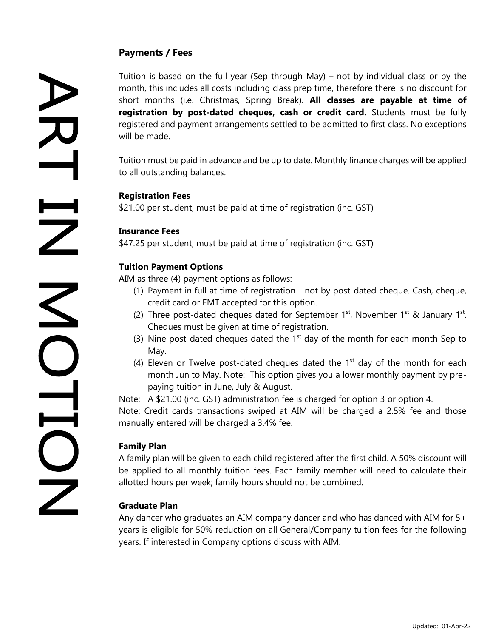## **Payments / Fees**

Tuition is based on the full year (Sep through May) – not by individual class or by the month, this includes all costs including class prep time, therefore there is no discount for short months (i.e. Christmas, Spring Break). **All classes are payable at time of registration by post-dated cheques, cash or credit card.** Students must be fully registered and payment arrangements settled to be admitted to first class. No exceptions will be made.

Tuition must be paid in advance and be up to date. Monthly finance charges will be applied to all outstanding balances.

### **Registration Fees**

\$21.00 per student, must be paid at time of registration (inc. GST)

### **Insurance Fees**

\$47.25 per student, must be paid at time of registration (inc. GST)

### **Tuition Payment Options**

AIM as three (4) payment options as follows:

- (1) Payment in full at time of registration not by post-dated cheque. Cash, cheque, credit card or EMT accepted for this option.
- (2) Three post-dated cheques dated for September  $1<sup>st</sup>$ , November  $1<sup>st</sup>$  & January  $1<sup>st</sup>$ . Cheques must be given at time of registration.
- (3) Nine post-dated cheques dated the  $1<sup>st</sup>$  day of the month for each month Sep to May.
- (4) Eleven or Twelve post-dated cheques dated the  $1<sup>st</sup>$  day of the month for each month Jun to May. Note: This option gives you a lower monthly payment by prepaying tuition in June, July & August.

Note: A \$21.00 (inc. GST) administration fee is charged for option 3 or option 4.

Note: Credit cards transactions swiped at AIM will be charged a 2.5% fee and those manually entered will be charged a 3.4% fee.

### **Family Plan**

A family plan will be given to each child registered after the first child. A 50% discount will be applied to all monthly tuition fees. Each family member will need to calculate their allotted hours per week; family hours should not be combined.

### **Graduate Plan**

Any dancer who graduates an AIM company dancer and who has danced with AIM for 5+ years is eligible for 50% reduction on all General/Company tuition fees for the following years. If interested in Company options discuss with AIM.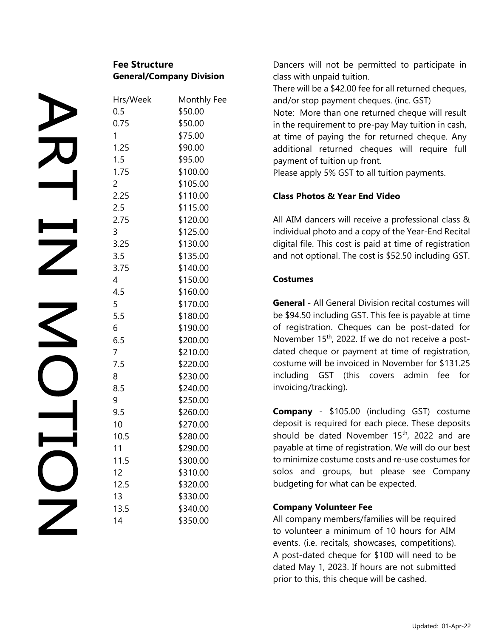| Hrs/Week        | Monthly Fee |
|-----------------|-------------|
| 0.5             | \$50.00     |
| 0.75            | \$50.00     |
| 1               | \$75.00     |
| 1.25            | \$90.00     |
| 1.5             | \$95.00     |
| 1.75            | \$100.00    |
| 2               | \$105.00    |
| 2.25            | \$110.00    |
| 2.5             | \$115.00    |
| 2.75            | \$120.00    |
| 3               | \$125.00    |
| 3.25            | \$130.00    |
| 3.5             | \$135.00    |
| 3.75            | \$140.00    |
| $\overline{4}$  | \$150.00    |
| 4.5             | \$160.00    |
| 5               | \$170.00    |
| 5.5             | \$180.00    |
| 6               | \$190.00    |
| 6.5             | \$200.00    |
| 7               | \$210.00    |
| 7.5             | \$220.00    |
| 8               | \$230.00    |
| 8.5             | \$240.00    |
| 9               | \$250.00    |
| 9.5             | \$260.00    |
| 10              | \$270.00    |
| 10.5            | \$280.00    |
| 11              | \$290.00    |
| 11.5            | \$300.00    |
| 12 <sub>1</sub> | \$310.00    |
| 12.5            | \$320.00    |
| 13              | \$330.00    |
| 13.5            | \$340.00    |
| 14              | \$350.00    |
|                 |             |

**Fee Structure**

**General/Company Division**

Dancers will not be permitted to participate in class with unpaid tuition.

There will be a \$42.00 fee for all returned cheques, and/or stop payment cheques. (inc. GST)

Note: More than one returned cheque will result in the requirement to pre-pay May tuition in cash, at time of paying the for returned cheque. Any additional returned cheques will require full payment of tuition up front.

Please apply 5% GST to all tuition payments.

### **Class Photos & Year End Video**

All AIM dancers will receive a professional class & individual photo and a copy of the Year-End Recital digital file. This cost is paid at time of registration and not optional. The cost is \$52.50 including GST.

## **Costumes**

**General** - All General Division recital costumes will be \$94.50 including GST. This fee is payable at time of registration. Cheques can be post-dated for November  $15<sup>th</sup>$ , 2022. If we do not receive a postdated cheque or payment at time of registration, costume will be invoiced in November for \$131.25 including GST (this covers admin fee for invoicing/tracking).

**Company** - \$105.00 (including GST) costume deposit is required for each piece. These deposits should be dated November 15<sup>th</sup>, 2022 and are payable at time of registration. We will do our best to minimize costume costs and re-use costumes for solos and groups, but please see Company budgeting for what can be expected.

## **Company Volunteer Fee**

All company members/families will be required to volunteer a minimum of 10 hours for AIM events. (i.e. recitals, showcases, competitions). A post-dated cheque for \$100 will need to be dated May 1, 2023. If hours are not submitted prior to this, this cheque will be cashed.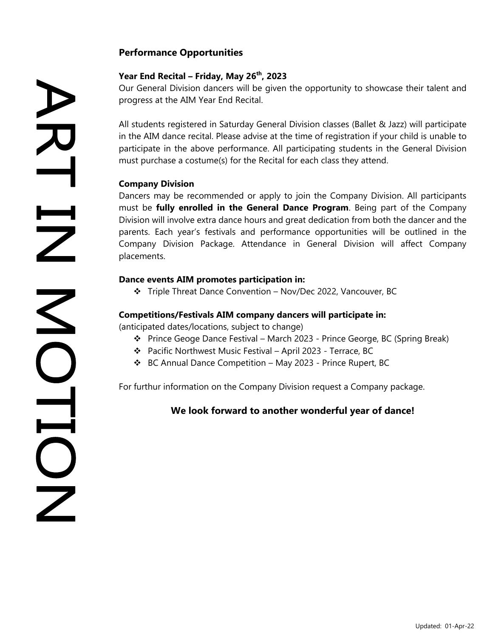# **Performance Opportunities**

### **Year End Recital – Friday, May 26th, 2023**

Our General Division dancers will be given the opportunity to showcase their talent and progress at the AIM Year End Recital.

All students registered in Saturday General Division classes (Ballet & Jazz) will participate in the AIM dance recital. Please advise at the time of registration if your child is unable to participate in the above performance. All participating students in the General Division must purchase a costume(s) for the Recital for each class they attend.

## **Company Division**

Dancers may be recommended or apply to join the Company Division. All participants must be **fully enrolled in the General Dance Program**. Being part of the Company Division will involve extra dance hours and great dedication from both the dancer and the parents. Each year's festivals and performance opportunities will be outlined in the Company Division Package. Attendance in General Division will affect Company placements.

### **Dance events AIM promotes participation in:**

❖ Triple Threat Dance Convention – Nov/Dec 2022, Vancouver, BC

### **Competitions/Festivals AIM company dancers will participate in:**

(anticipated dates/locations, subject to change)

- ❖ Prince Geoge Dance Festival March 2023 Prince George, BC (Spring Break)
- ❖ Pacific Northwest Music Festival April 2023 Terrace, BC
- ❖ BC Annual Dance Competition May 2023 Prince Rupert, BC

For furthur information on the Company Division request a Company package.

## **We look forward to another wonderful year of dance!**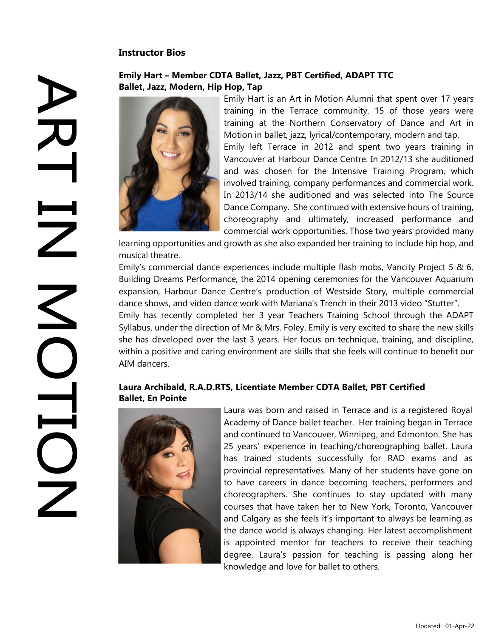## **Instructor Bios**

**Emily Hart – Member CDTA Ballet, Jazz, PBT Certified, ADAPT TTC Ballet, Jazz, Modern, Hip Hop, Tap**



Emily Hart is an Art in Motion Alumni that spent over 17 years training in the Terrace community. 15 of those years were training at the Northern Conservatory of Dance and Art in Motion in ballet, jazz, lyrical/contemporary, modern and tap. Emily left Terrace in 2012 and spent two years training in Vancouver at Harbour Dance Centre. In 2012/13 she auditioned and was chosen for the Intensive Training Program, which involved training, company performances and commercial work. In 2013/14 she auditioned and was selected into The Source Dance Company. She continued with extensive hours of training, choreography and ultimately, increased performance and commercial work opportunities. Those two years provided many

learning opportunities and growth as she also expanded her training to include hip hop, and musical theatre.

Emily's commercial dance experiences include multiple flash mobs, Vancity Project 5 & 6, Building Dreams Performance, the 2014 opening ceremonies for the Vancouver Aquarium expansion, Harbour Dance Centre's production of Westside Story, multiple commercial dance shows, and video dance work with Mariana's Trench in their 2013 video "Stutter".

Emily has recently completed her 3 year Teachers Training School through the ADAPT Syllabus, under the direction of Mr & Mrs. Foley. Emily is very excited to share the new skills she has developed over the last 3 years. Her focus on technique, training, and discipline, within a positive and caring environment are skills that she feels will continue to benefit our AIM dancers.

### **Laura Archibald, R.A.D.RTS, Licentiate Member CDTA Ballet, PBT Certified Ballet, En Pointe**



 $\sum_{i=1}^{n}$ 

Laura was born and raised in Terrace and is a registered Royal Academy of Dance ballet teacher. Her training began in Terrace and continued to Vancouver, Winnipeg, and Edmonton. She has 25 years' experience in teaching/choreographing ballet. Laura has trained students successfully for RAD exams and as provincial representatives. Many of her students have gone on to have careers in dance becoming teachers, performers and choreographers. She continues to stay updated with many courses that have taken her to New York, Toronto, Vancouver and Calgary as she feels it's important to always be learning as the dance world is always changing. Her latest accomplishment is appointed mentor for teachers to receive their teaching degree. Laura's passion for teaching is passing along her knowledge and love for ballet to others.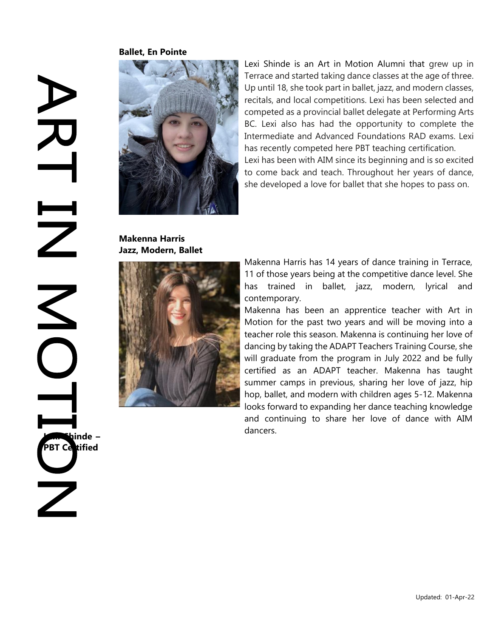### **Ballet, En Pointe**



Lexi Shinde is an Art in Motion Alumni that grew up in Terrace and started taking dance classes at the age of three. Up until 18, she took part in ballet, jazz, and modern classes, recitals, and local competitions. Lexi has been selected and competed as a provincial ballet delegate at Performing Arts BC. Lexi also has had the opportunity to complete the Intermediate and Advanced Foundations RAD exams. Lexi has recently competed here PBT teaching certification. Lexi has been with AIM since its beginning and is so excited to come back and teach. Throughout her years of dance, she developed a love for ballet that she hopes to pass on.

**Makenna Harris Jazz, Modern, Ballet**



Makenna Harris has 14 years of dance training in Terrace, 11 of those years being at the competitive dance level. She has trained in ballet, jazz, modern, lyrical and contemporary.

Makenna has been an apprentice teacher with Art in Motion for the past two years and will be moving into a teacher role this season. Makenna is continuing her love of dancing by taking the ADAPT Teachers Training Course, she will graduate from the program in July 2022 and be fully certified as an ADAPT teacher. Makenna has taught summer camps in previous, sharing her love of jazz, hip hop, ballet, and modern with children ages 5-12. Makenna looks forward to expanding her dance teaching knowledge and continuing to share her love of dance with AIM dancers.